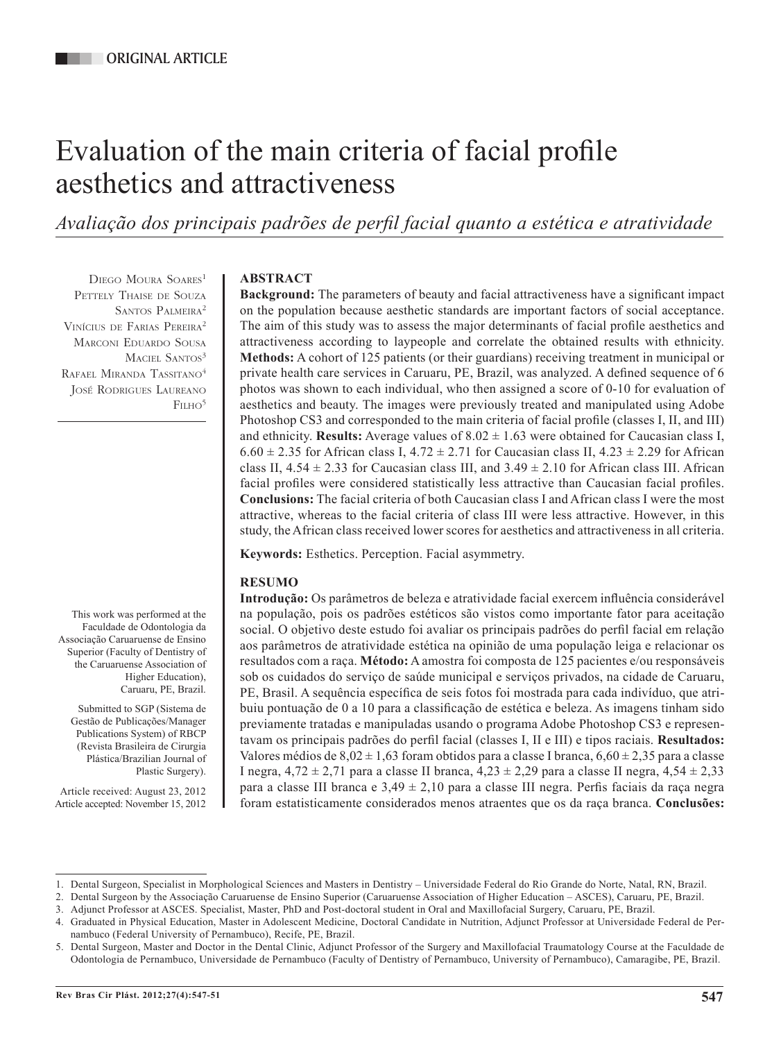# Evaluation of the main criteria of facial profile aesthetics and attractiveness

*Avaliação dos principais padrões de perfil facial quanto a estética e atratividade*

DIEGO MOURA SOARES<sup>1</sup> PETTELY THAISE DE SOUZA SANTOS PALMEIRA<sup>2</sup> Vinícius de Farias Pereira2 Marconi Eduardo Sousa MACIEL SANTOS<sup>3</sup> RAFAEL MIRANDA TASSITANO<sup>4</sup> José Rodrigues Laureano FILHO<sup>5</sup>

## **ABSTRACT**

**Background:** The parameters of beauty and facial attractiveness have a significant impact on the population because aesthetic standards are important factors of social acceptance. The aim of this study was to assess the major determinants of facial profile aesthetics and attractiveness according to laypeople and correlate the obtained results with ethnicity. **Methods:** A cohort of 125 patients (or their guardians) receiving treatment in municipal or private health care services in Caruaru, PE, Brazil, was analyzed. A defined sequence of 6 photos was shown to each individual, who then assigned a score of 0-10 for evaluation of aesthetics and beauty. The images were previously treated and manipulated using Adobe Photoshop CS3 and corresponded to the main criteria of facial profile (classes I, II, and III) and ethnicity. **Results:** Average values of  $8.02 \pm 1.63$  were obtained for Caucasian class I,  $6.60 \pm 2.35$  for African class I,  $4.72 \pm 2.71$  for Caucasian class II,  $4.23 \pm 2.29$  for African class II,  $4.54 \pm 2.33$  for Caucasian class III, and  $3.49 \pm 2.10$  for African class III. African facial profiles were considered statistically less attractive than Caucasian facial profiles. **Conclusions:** The facial criteria of both Caucasian class I and African class I were the most attractive, whereas to the facial criteria of class III were less attractive. However, in this study, the African class received lower scores for aesthetics and attractiveness in all criteria.

**Keywords:** Esthetics. Perception. Facial asymmetry.

# **RESUMO**

**Introdução:** Os parâmetros de beleza e atratividade facial exercem influência considerável na população, pois os padrões estéticos são vistos como importante fator para aceitação social. O objetivo deste estudo foi avaliar os principais padrões do perfil facial em relação aos parâmetros de atratividade estética na opinião de uma população leiga e relacionar os resultados com a raça. **Método:** A amostra foi composta de 125 pacientes e/ou responsáveis sob os cuidados do serviço de saúde municipal e serviços privados, na cidade de Caruaru, PE, Brasil. A sequência específica de seis fotos foi mostrada para cada indivíduo, que atribuiu pontuação de 0 a 10 para a classificação de estética e beleza. As imagens tinham sido previamente tratadas e manipuladas usando o programa Adobe Photoshop CS3 e representavam os principais padrões do perfil facial (classes I, II e III) e tipos raciais. **Resultados:** Valores médios de  $8.02 \pm 1.63$  foram obtidos para a classe I branca,  $6.60 \pm 2.35$  para a classe I negra,  $4,72 \pm 2,71$  para a classe II branca,  $4,23 \pm 2,29$  para a classe II negra,  $4,54 \pm 2,33$ para a classe III branca e  $3.49 \pm 2.10$  para a classe III negra. Perfis faciais da raça negra foram estatisticamente considerados menos atraentes que os da raça branca. **Conclusões:**

Plástica/Brazilian Journal of Plastic Surgery).

Submitted to SGP (Sistema de Gestão de Publicações/Manager Publications System) of RBCP (Revista Brasileira de Cirurgia

This work was performed at the Faculdade de Odontologia da Associação Caruaruense de Ensino Superior (Faculty of Dentistry of the Caruaruense Association of

> Higher Education), Caruaru, PE, Brazil.

Article received: August 23, 2012 Article accepted: November 15, 2012

<sup>1.</sup> Dental Surgeon, Specialist in Morphological Sciences and Masters in Dentistry – Universidade Federal do Rio Grande do Norte, Natal, RN, Brazil.

<sup>2.</sup> Dental Surgeon by the Associação Caruaruense de Ensino Superior (Caruaruense Association of Higher Education – ASCES), Caruaru, PE, Brazil.

<sup>3.</sup> Adjunct Professor at ASCES. Specialist, Master, PhD and Post-doctoral student in Oral and Maxillofacial Surgery, Caruaru, PE, Brazil.

<sup>4.</sup> Graduated in Physical Education, Master in Adolescent Medicine, Doctoral Candidate in Nutrition, Adjunct Professor at Universidade Federal de Pernambuco (Federal University of Pernambuco), Recife, PE, Brazil.

<sup>5.</sup> Dental Surgeon, Master and Doctor in the Dental Clinic, Adjunct Professor of the Surgery and Maxillofacial Traumatology Course at the Faculdade de Odontologia de Pernambuco, Universidade de Pernambuco (Faculty of Dentistry of Pernambuco, University of Pernambuco), Camaragibe, PE, Brazil.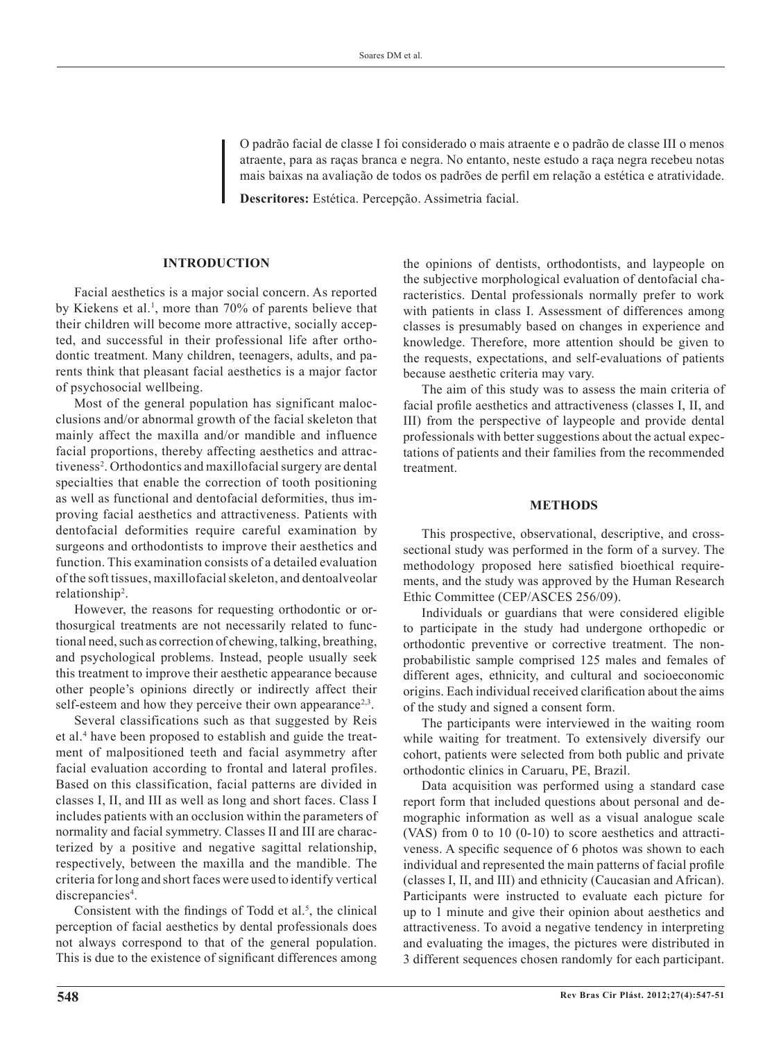O padrão facial de classe I foi considerado o mais atraente e o padrão de classe III o menos atraente, para as raças branca e negra. No entanto, neste estudo a raça negra recebeu notas mais baixas na avaliação de todos os padrões de perfil em relação a estética e atratividade.

**Descritores:** Estética. Percepção. Assimetria facial.

## **INTRODUCTION**

Facial aesthetics is a major social concern. As reported by Kiekens et al.<sup>1</sup>, more than 70% of parents believe that their children will become more attractive, socially accepted, and successful in their professional life after orthodontic treatment. Many children, teenagers, adults, and parents think that pleasant facial aesthetics is a major factor of psychosocial wellbeing.

Most of the general population has significant malocclusions and/or abnormal growth of the facial skeleton that mainly affect the maxilla and/or mandible and influence facial proportions, thereby affecting aesthetics and attractiveness<sup>2</sup>. Orthodontics and maxillofacial surgery are dental specialties that enable the correction of tooth positioning as well as functional and dentofacial deformities, thus improving facial aesthetics and attractiveness. Patients with dentofacial deformities require careful examination by surgeons and orthodontists to improve their aesthetics and function. This examination consists of a detailed evaluation of the soft tissues, maxillofacial skeleton, and dentoalveolar relationship<sup>2</sup> .

However, the reasons for requesting orthodontic or orthosurgical treatments are not necessarily related to functional need, such as correction of chewing, talking, breathing, and psychological problems. Instead, people usually seek this treatment to improve their aesthetic appearance because other people's opinions directly or indirectly affect their self-esteem and how they perceive their own appearance<sup>2,3</sup>.

Several classifications such as that suggested by Reis et al.<sup>4</sup> have been proposed to establish and guide the treatment of malpositioned teeth and facial asymmetry after facial evaluation according to frontal and lateral profiles. Based on this classification, facial patterns are divided in classes I, II, and III as well as long and short faces. Class I includes patients with an occlusion within the parameters of normality and facial symmetry. Classes II and III are characterized by a positive and negative sagittal relationship, respectively, between the maxilla and the mandible. The criteria for long and short faces were used to identify vertical discrepancies<sup>4</sup>.

Consistent with the findings of Todd et al.<sup>5</sup>, the clinical perception of facial aesthetics by dental professionals does not always correspond to that of the general population. This is due to the existence of significant differences among

the opinions of dentists, orthodontists, and laypeople on the subjective morphological evaluation of dentofacial characteristics. Dental professionals normally prefer to work with patients in class I. Assessment of differences among classes is presumably based on changes in experience and knowledge. Therefore, more attention should be given to the requests, expectations, and self-evaluations of patients because aesthetic criteria may vary.

The aim of this study was to assess the main criteria of facial profile aesthetics and attractiveness (classes I, II, and III) from the perspective of laypeople and provide dental professionals with better suggestions about the actual expectations of patients and their families from the recommended treatment.

#### **METHODS**

This prospective, observational, descriptive, and crosssectional study was performed in the form of a survey. The methodology proposed here satisfied bioethical requirements, and the study was approved by the Human Research Ethic Committee (CEP/ASCES 256/09).

Individuals or guardians that were considered eligible to participate in the study had undergone orthopedic or orthodontic preventive or corrective treatment. The nonprobabilistic sample comprised 125 males and females of different ages, ethnicity, and cultural and socioeconomic origins. Each individual received clarification about the aims of the study and signed a consent form.

The participants were interviewed in the waiting room while waiting for treatment. To extensively diversify our cohort, patients were selected from both public and private orthodontic clinics in Caruaru, PE, Brazil.

Data acquisition was performed using a standard case report form that included questions about personal and demographic information as well as a visual analogue scale (VAS) from 0 to 10 (0-10) to score aesthetics and attractiveness. A specific sequence of 6 photos was shown to each individual and represented the main patterns of facial profile (classes I, II, and III) and ethnicity (Caucasian and African). Participants were instructed to evaluate each picture for up to 1 minute and give their opinion about aesthetics and attractiveness. To avoid a negative tendency in interpreting and evaluating the images, the pictures were distributed in 3 different sequences chosen randomly for each participant.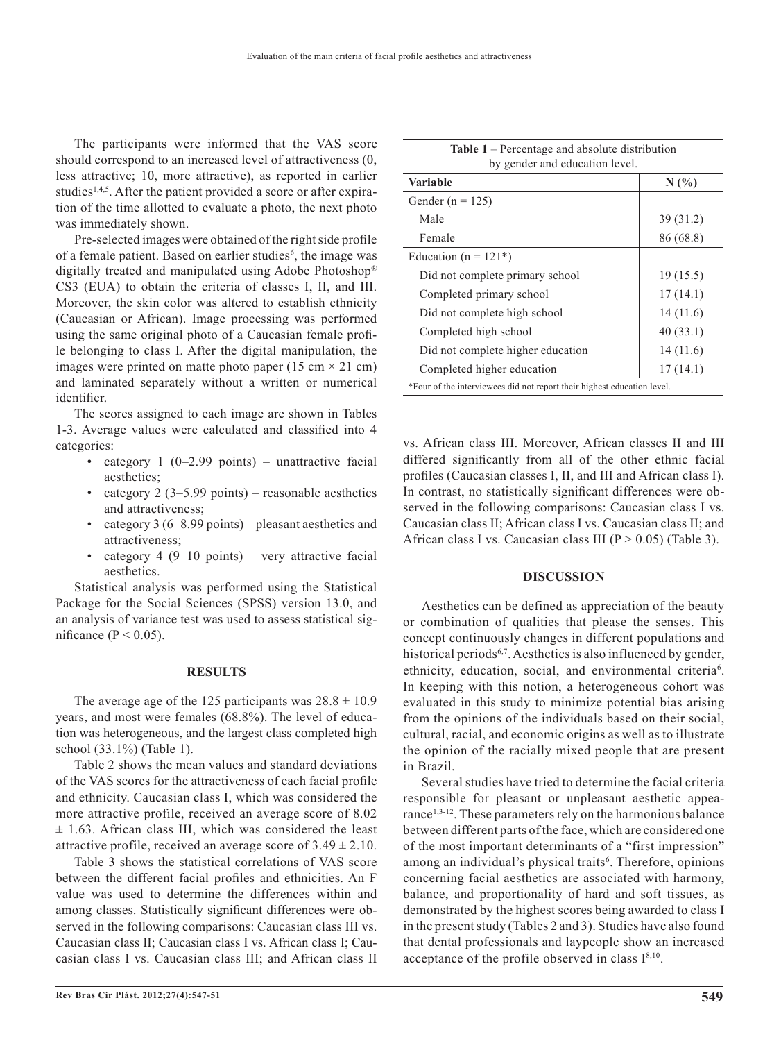The participants were informed that the VAS score should correspond to an increased level of attractiveness (0, less attractive; 10, more attractive), as reported in earlier studies<sup>1,4,5</sup>. After the patient provided a score or after expiration of the time allotted to evaluate a photo, the next photo was immediately shown.

Pre-selected images were obtained of the right side profile of a female patient. Based on earlier studies<sup>6</sup>, the image was digitally treated and manipulated using Adobe Photoshop® CS3 (EUA) to obtain the criteria of classes I, II, and III. Moreover, the skin color was altered to establish ethnicity (Caucasian or African). Image processing was performed using the same original photo of a Caucasian female profile belonging to class I. After the digital manipulation, the images were printed on matte photo paper (15 cm  $\times$  21 cm) and laminated separately without a written or numerical identifier.

The scores assigned to each image are shown in Tables 1-3. Average values were calculated and classified into 4 categories:

- category  $1$  (0–2.99 points) unattractive facial aesthetics;
- category  $2$  (3–5.99 points) reasonable aesthetics and attractiveness;
- category 3 (6–8.99 points) pleasant aesthetics and attractiveness;
- category 4 (9–10 points) very attractive facial aesthetics.

Statistical analysis was performed using the Statistical Package for the Social Sciences (SPSS) version 13.0, and an analysis of variance test was used to assess statistical significance ( $P < 0.05$ ).

## **RESULTS**

The average age of the 125 participants was  $28.8 \pm 10.9$ years, and most were females (68.8%). The level of education was heterogeneous, and the largest class completed high school (33.1%) (Table 1).

Table 2 shows the mean values and standard deviations of the VAS scores for the attractiveness of each facial profile and ethnicity. Caucasian class I, which was considered the more attractive profile, received an average score of 8.02  $\pm$  1.63. African class III, which was considered the least attractive profile, received an average score of  $3.49 \pm 2.10$ .

Table 3 shows the statistical correlations of VAS score between the different facial profiles and ethnicities. An F value was used to determine the differences within and among classes. Statistically significant differences were observed in the following comparisons: Caucasian class III vs. Caucasian class II; Caucasian class I vs. African class I; Caucasian class I vs. Caucasian class III; and African class II

| <b>Table 1</b> – Percentage and absolute distribution                   |           |  |  |  |  |
|-------------------------------------------------------------------------|-----------|--|--|--|--|
| by gender and education level.                                          |           |  |  |  |  |
| Variable                                                                | N(%       |  |  |  |  |
| Gender ( $n = 125$ )                                                    |           |  |  |  |  |
| Male                                                                    | 39(31.2)  |  |  |  |  |
| Female                                                                  | 86 (68.8) |  |  |  |  |
| Education ( $n = 121$ *)                                                |           |  |  |  |  |
| Did not complete primary school                                         | 19 (15.5) |  |  |  |  |
| Completed primary school                                                | 17(14.1)  |  |  |  |  |
| Did not complete high school                                            | 14 (11.6) |  |  |  |  |
| Completed high school                                                   | 40(33.1)  |  |  |  |  |
| Did not complete higher education                                       | 14(11.6)  |  |  |  |  |
| Completed higher education                                              | 17(14.1)  |  |  |  |  |
| *Four of the interviewees did not report their highest education level. |           |  |  |  |  |

vs. African class III. Moreover, African classes II and III differed significantly from all of the other ethnic facial profiles (Caucasian classes I, II, and III and African class I). In contrast, no statistically significant differences were observed in the following comparisons: Caucasian class I vs. Caucasian class II; African class I vs. Caucasian class II; and African class I vs. Caucasian class III ( $P > 0.05$ ) (Table 3).

## **DISCUSSION**

Aesthetics can be defined as appreciation of the beauty or combination of qualities that please the senses. This concept continuously changes in different populations and historical periods<sup>6,7</sup>. Aesthetics is also influenced by gender, ethnicity, education, social, and environmental criteria<sup>6</sup>. In keeping with this notion, a heterogeneous cohort was evaluated in this study to minimize potential bias arising from the opinions of the individuals based on their social, cultural, racial, and economic origins as well as to illustrate the opinion of the racially mixed people that are present in Brazil.

Several studies have tried to determine the facial criteria responsible for pleasant or unpleasant aesthetic appearance<sup>1,3-12</sup>. These parameters rely on the harmonious balance between different parts of the face, which are considered one of the most important determinants of a "first impression" among an individual's physical traits<sup>6</sup>. Therefore, opinions concerning facial aesthetics are associated with harmony, balance, and proportionality of hard and soft tissues, as demonstrated by the highest scores being awarded to class I in the present study (Tables 2 and 3). Studies have also found that dental professionals and laypeople show an increased acceptance of the profile observed in class  $I^{8,10}$ .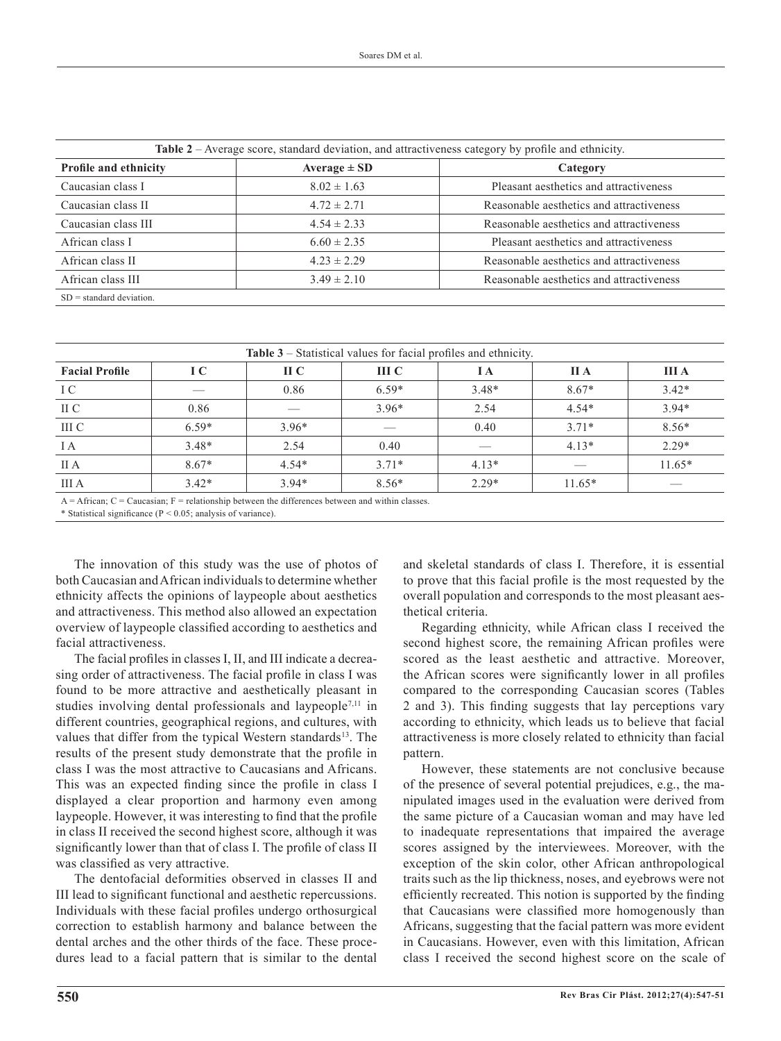| Table 2 – Average score, standard deviation, and attractiveness category by profile and ethnicity. |                              |                                          |  |  |  |
|----------------------------------------------------------------------------------------------------|------------------------------|------------------------------------------|--|--|--|
| <b>Profile and ethnicity</b>                                                                       | Average $\pm$ SD<br>Category |                                          |  |  |  |
| Caucasian class I                                                                                  | $8.02 \pm 1.63$              | Pleasant aesthetics and attractiveness   |  |  |  |
| Caucasian class II                                                                                 | $4.72 \pm 2.71$              | Reasonable aesthetics and attractiveness |  |  |  |
| Caucasian class III                                                                                | $4.54 \pm 2.33$              | Reasonable aesthetics and attractiveness |  |  |  |
| African class I                                                                                    | $6.60 \pm 2.35$              | Pleasant aesthetics and attractiveness   |  |  |  |
| African class II                                                                                   | $4.23 \pm 2.29$              | Reasonable aesthetics and attractiveness |  |  |  |
| African class III                                                                                  | $3.49 \pm 2.10$              | Reasonable aesthetics and attractiveness |  |  |  |
| $SD = standard deviation$ .                                                                        |                              |                                          |  |  |  |

| <b>Table 3</b> – Statistical values for facial profiles and ethnicity. |         |                         |         |         |             |              |  |
|------------------------------------------------------------------------|---------|-------------------------|---------|---------|-------------|--------------|--|
| <b>Facial Profile</b>                                                  | I C     | $\mathbf{H} \mathbf{C}$ | III C   | I A     | <b>II</b> A | <b>III</b> A |  |
| I C                                                                    | _       | 0.86                    | $6.59*$ | $3.48*$ | $8.67*$     | $3.42*$      |  |
| II C                                                                   | 0.86    |                         | $3.96*$ | 2.54    | $4.54*$     | $3.94*$      |  |
| III C                                                                  | $6.59*$ | $3.96*$                 |         | 0.40    | $3.71*$     | $8.56*$      |  |
| I A                                                                    | $3.48*$ | 2.54                    | 0.40    |         | $4.13*$     | $2.29*$      |  |
| II A                                                                   | $8.67*$ | $4.54*$                 | $3.71*$ | $4.13*$ |             | $11.65*$     |  |
| III A                                                                  | $3.42*$ | $3.94*$                 | $8.56*$ | $2.29*$ | $11.65*$    |              |  |

 $A =$ African;  $C =$ Caucasian;  $F =$  relationship between the differences between and within classes.

\* Statistical significance ( $P < 0.05$ ; analysis of variance).

The innovation of this study was the use of photos of both Caucasian and African individuals to determine whether ethnicity affects the opinions of laypeople about aesthetics and attractiveness. This method also allowed an expectation overview of laypeople classified according to aesthetics and facial attractiveness.

The facial profiles in classes I, II, and III indicate a decreasing order of attractiveness. The facial profile in class I was found to be more attractive and aesthetically pleasant in studies involving dental professionals and laypeople<sup>7,11</sup> in different countries, geographical regions, and cultures, with values that differ from the typical Western standards<sup>13</sup>. The results of the present study demonstrate that the profile in class I was the most attractive to Caucasians and Africans. This was an expected finding since the profile in class I displayed a clear proportion and harmony even among laypeople. However, it was interesting to find that the profile in class II received the second highest score, although it was significantly lower than that of class I. The profile of class II was classified as very attractive.

The dentofacial deformities observed in classes II and III lead to significant functional and aesthetic repercussions. Individuals with these facial profiles undergo orthosurgical correction to establish harmony and balance between the dental arches and the other thirds of the face. These procedures lead to a facial pattern that is similar to the dental and skeletal standards of class I. Therefore, it is essential to prove that this facial profile is the most requested by the overall population and corresponds to the most pleasant aesthetical criteria.

Regarding ethnicity, while African class I received the second highest score, the remaining African profiles were scored as the least aesthetic and attractive. Moreover, the African scores were significantly lower in all profiles compared to the corresponding Caucasian scores (Tables 2 and 3). This finding suggests that lay perceptions vary according to ethnicity, which leads us to believe that facial attractiveness is more closely related to ethnicity than facial pattern.

However, these statements are not conclusive because of the presence of several potential prejudices, e.g., the manipulated images used in the evaluation were derived from the same picture of a Caucasian woman and may have led to inadequate representations that impaired the average scores assigned by the interviewees. Moreover, with the exception of the skin color, other African anthropological traits such as the lip thickness, noses, and eyebrows were not efficiently recreated. This notion is supported by the finding that Caucasians were classified more homogenously than Africans, suggesting that the facial pattern was more evident in Caucasians. However, even with this limitation, African class I received the second highest score on the scale of